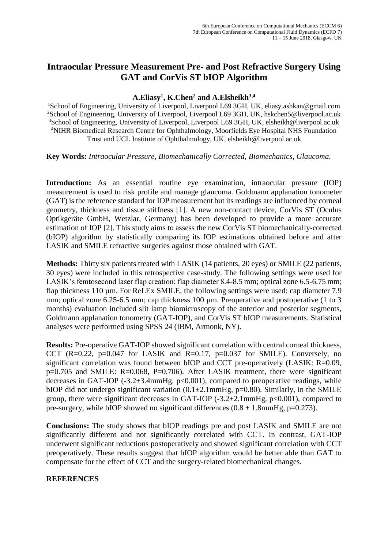## **Intraocular Pressure Measurement Pre- and Post Refractive Surgery Using GAT and CorVis ST bIOP Algorithm**

## **A.Eliasy<sup>1</sup> , K.Chen<sup>2</sup> and A.Elsheikh3,4**

<sup>1</sup>School of Engineering, University of Liverpool, Liverpool L69 3GH, UK, eliasy.ashkan@gmail.com <sup>2</sup>School of Engineering, University of Liverpool, Liverpool L69 3GH, UK, hskchen5@liverpool.ac.uk <sup>3</sup>School of Engineering, University of Liverpool, Liverpool L69 3GH, UK, elsheikh@liverpool.ac.uk <sup>4</sup>NIHR Biomedical Research Centre for Ophthalmology, Moorfields Eye Hospital NHS Foundation Trust and UCL Institute of Ophthalmology, UK, elsheikh@liverpool.ac.uk

**Key Words:** *Intraocular Pressure, Biomechanically Corrected, Biomechanics, Glaucoma.*

**Introduction:** As an essential routine eye examination, intraocular pressure (IOP) measurement is used to risk profile and manage glaucoma. Goldmann applanation tonometer (GAT) is the reference standard for IOP measurement but its readings are influenced by corneal geometry, thickness and tissue stiffness [1]. A new non-contact device, CorVis ST (Oculus Optikgeräte GmbH, Wetzlar, Germany) has been developed to provide a more accurate estimation of IOP [2]. This study aims to assess the new CorVis ST biomechanically-corrected (bIOP) algorithm by statistically comparing its IOP estimations obtained before and after LASIK and SMILE refractive surgeries against those obtained with GAT.

**Methods:** Thirty six patients treated with LASIK (14 patients, 20 eyes) or SMILE (22 patients, 30 eyes) were included in this retrospective case-study. The following settings were used for LASIK's femtosecond laser flap creation: flap diameter 8.4-8.5 mm; optical zone 6.5-6.75 mm; flap thickness 110 µm. For ReLEx SMILE, the following settings were used: cap diameter 7.9 mm; optical zone 6.25-6.5 mm; cap thickness 100 µm. Preoperative and postoperative (1 to 3 months) evaluation included slit lamp biomicroscopy of the anterior and posterior segments, Goldmann applanation tonometry (GAT-IOP), and CorVis ST bIOP measurements. Statistical analyses were performed using SPSS 24 (IBM, Armonk, NY).

**Results:** Pre-operative GAT-IOP showed significant correlation with central corneal thickness, CCT (R=0.22, p=0.047 for LASIK and R=0.17, p=0.037 for SMILE). Conversely, no significant correlation was found between bIOP and CCT pre-operatively (LASIK: R=0.09, p=0.705 and SMILE: R=0.068, P=0.706). After LASIK treatment, there were significant decreases in GAT-IOP (-3.2±3.4mmHg, p<0.001), compared to preoperative readings, while bIOP did not undergo significant variation  $(0.1 \pm 2.1 \text{mmHg}, p=0.80)$ . Similarly, in the SMILE group, there were significant decreases in GAT-IOP  $(-3.2 \pm 2.1 \text{mmHg}, p<0.001)$ , compared to pre-surgery, while bIOP showed no significant differences  $(0.8 \pm 1.8 \text{mmHg}, \text{p=0.273}).$ 

**Conclusions:** The study shows that bIOP readings pre and post LASIK and SMILE are not significantly different and not significantly correlated with CCT. In contrast, GAT-IOP underwent significant reductions postoperatively and showed significant correlation with CCT preoperatively. These results suggest that bIOP algorithm would be better able than GAT to compensate for the effect of CCT and the surgery-related biomechanical changes.

## **REFERENCES**